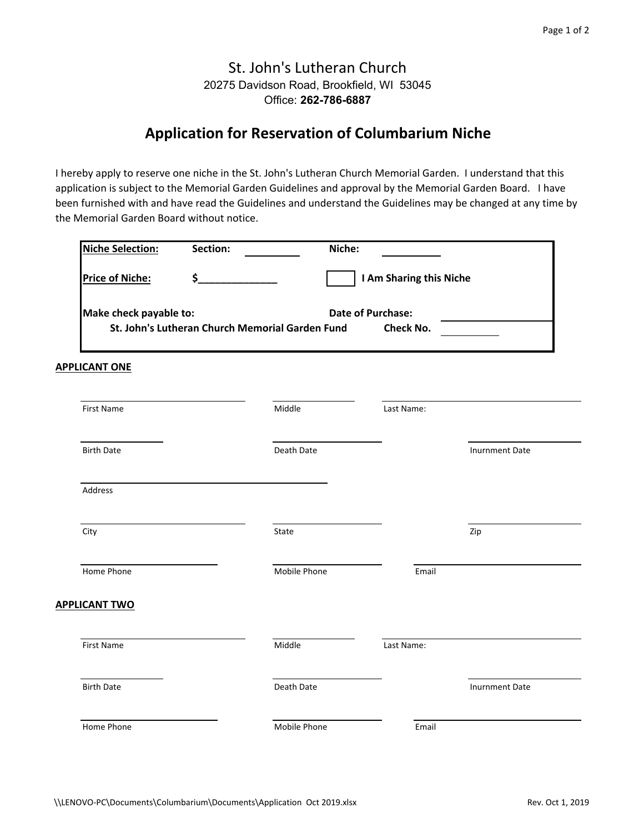## St. John's Lutheran Church 20275 Davidson Road, Brookfield, WI 53045 Office: **262-786-6887**

## **Application for Reservation of Columbarium Niche**

I hereby apply to reserve one niche in the St. John's Lutheran Church Memorial Garden. I understand that this application is subject to the Memorial Garden Guidelines and approval by the Memorial Garden Board. I have been furnished with and have read the Guidelines and understand the Guidelines may be changed at any time by the Memorial Garden Board without notice.

| Make check payable to: | St. John's Lutheran Church Memorial Garden Fund | <b>Date of Purchase:</b><br>Check No. |                       |
|------------------------|-------------------------------------------------|---------------------------------------|-----------------------|
| <b>APPLICANT ONE</b>   |                                                 |                                       |                       |
| <b>First Name</b>      | Middle                                          | Last Name:                            |                       |
| <b>Birth Date</b>      | Death Date                                      |                                       | <b>Inurnment Date</b> |
| Address                |                                                 |                                       |                       |
| City                   | State                                           |                                       | Zip                   |
| Home Phone             | Mobile Phone                                    | Email                                 |                       |
| <b>APPLICANT TWO</b>   |                                                 |                                       |                       |
| <b>First Name</b>      | Middle                                          | Last Name:                            |                       |
| <b>Birth Date</b>      | Death Date                                      |                                       | <b>Inurnment Date</b> |